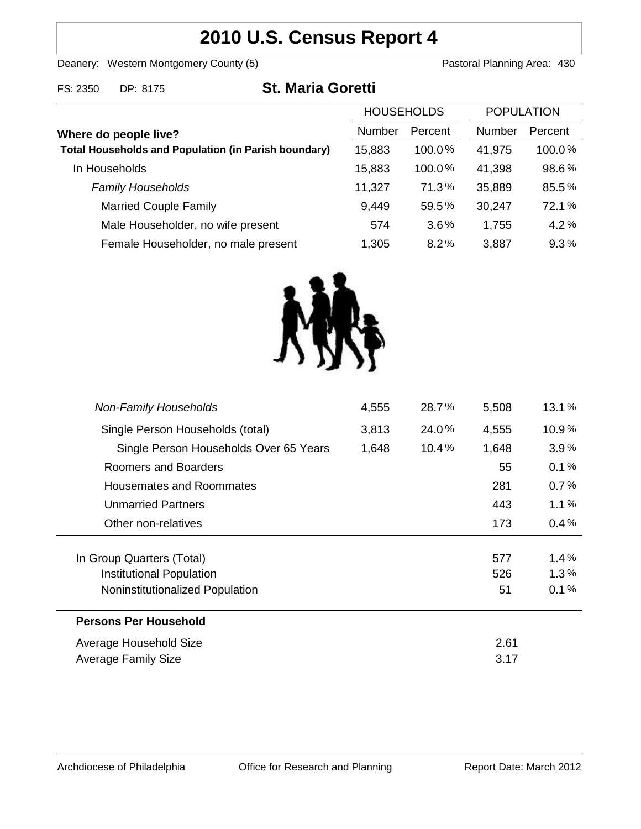# **2010 U.S. Census Report 4**

Deanery: Western Montgomery County (5) County (5) Pastoral Planning Area: 430

| FS: 2350<br>DP: 8175 |  | <b>St. Maria Goretti</b> |
|----------------------|--|--------------------------|
|----------------------|--|--------------------------|

| <b>HOUSEHOLDS</b>                                           |        | <b>POPULATION</b> |        |         |
|-------------------------------------------------------------|--------|-------------------|--------|---------|
| Where do people live?                                       | Number | Percent           | Number | Percent |
| <b>Total Households and Population (in Parish boundary)</b> | 15,883 | $100.0\%$         | 41,975 | 100.0%  |
| In Households                                               | 15,883 | $100.0\%$         | 41,398 | 98.6%   |
| <b>Family Households</b>                                    | 11,327 | 71.3%             | 35,889 | 85.5%   |
| <b>Married Couple Family</b>                                | 9,449  | 59.5%             | 30,247 | 72.1%   |
| Male Householder, no wife present                           | 574    | 3.6%              | 1,755  | 4.2%    |
| Female Householder, no male present                         | 1,305  | 8.2%              | 3,887  | 9.3%    |



| <b>Non-Family Households</b>           | 4,555 | 28.7%    | 5,508 | 13.1%   |
|----------------------------------------|-------|----------|-------|---------|
| Single Person Households (total)       | 3,813 | 24.0%    | 4,555 | 10.9%   |
| Single Person Households Over 65 Years | 1,648 | $10.4\%$ | 1,648 | 3.9%    |
| Roomers and Boarders                   |       |          | 55    | 0.1%    |
| Housemates and Roommates               |       |          | 281   | 0.7%    |
| <b>Unmarried Partners</b>              |       |          | 443   | $1.1\%$ |
| Other non-relatives                    |       |          | 173   | 0.4%    |
| In Group Quarters (Total)              |       |          | 577   | 1.4%    |
| Institutional Population               |       |          | 526   | 1.3%    |
| Noninstitutionalized Population        |       |          | 51    | 0.1%    |
| <b>Persons Per Household</b>           |       |          |       |         |
| Average Household Size                 |       |          | 2.61  |         |
| Average Family Size                    |       |          | 3.17  |         |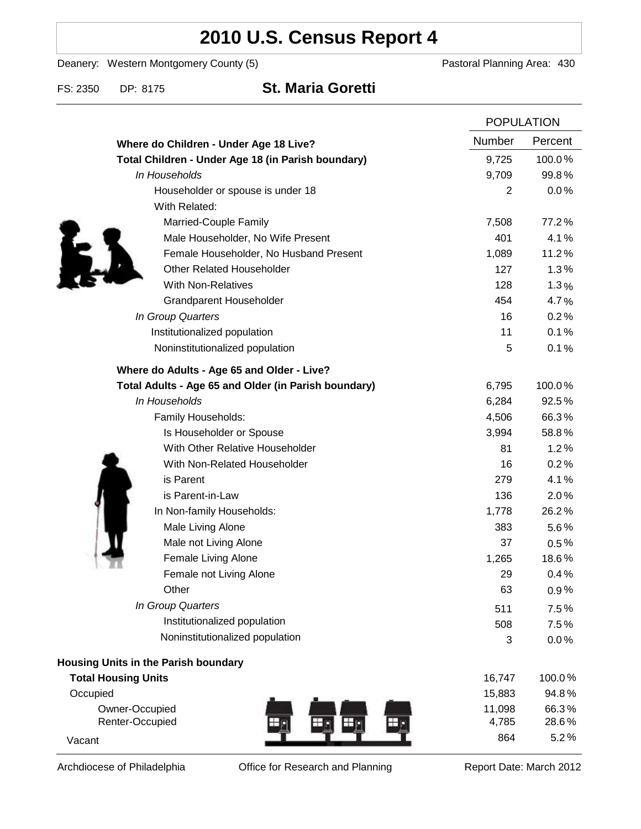# **2010 U.S. Census Report 4**

Deanery: Western Montgomery County (5) Deanery: Western Montgomery County (5)

FS: 2350 DP: 8175 **St. Maria Goretti**

|                                                      | <b>POPULATION</b> |                |
|------------------------------------------------------|-------------------|----------------|
| Where do Children - Under Age 18 Live?               | Number            | Percent        |
| Total Children - Under Age 18 (in Parish boundary)   | 9,725             | 100.0%         |
| In Households                                        | 9,709             | 99.8%          |
| Householder or spouse is under 18                    | $\overline{2}$    | 0.0%           |
| With Related:                                        |                   |                |
| Married-Couple Family                                | 7,508             | 77.2%          |
| Male Householder, No Wife Present                    | 401               | 4.1%           |
| Female Householder, No Husband Present               | 1,089             | 11.2%          |
| <b>Other Related Householder</b>                     | 127               | 1.3%           |
| <b>With Non-Relatives</b>                            | 128               | 1.3%           |
| Grandparent Householder                              | 454               | 4.7%           |
| In Group Quarters                                    | 16                | 0.2%           |
| Institutionalized population                         | 11                | 0.1%           |
| Noninstitutionalized population                      | 5                 | 0.1%           |
| Where do Adults - Age 65 and Older - Live?           |                   |                |
| Total Adults - Age 65 and Older (in Parish boundary) | 6,795             | 100.0%         |
| In Households                                        | 6,284             | 92.5%          |
| Family Households:                                   | 4,506             | 66.3%          |
| Is Householder or Spouse                             | 3,994             | 58.8%          |
| With Other Relative Householder                      | 81                | 1.2%           |
| With Non-Related Householder                         | 16                | 0.2%           |
| is Parent                                            | 279               | 4.1%           |
| is Parent-in-Law                                     | 136               | 2.0%           |
| In Non-family Households:                            | 1,778             | 26.2%          |
| Male Living Alone                                    | 383               | $5.6\%$        |
| Male not Living Alone                                | 37                | $0.5\%$        |
| Female Living Alone                                  | 1,265             | 18.6%          |
| Female not Living Alone                              | 29                | 0.4%           |
| Other                                                | 63                | 0.9%           |
| In Group Quarters                                    | 511               | 7.5%           |
| Institutionalized population                         | 508               | 7.5%           |
| Noninstitutionalized population                      | 3                 | 0.0%           |
| <b>Housing Units in the Parish boundary</b>          |                   |                |
| <b>Total Housing Units</b>                           | 16,747            | 100.0%         |
| Occupied                                             | 15,883            | 94.8%          |
| Owner-Occupied<br>Renter-Occupied<br>$\bigoplus$     | 11,098<br>4,785   | 66.3%<br>28.6% |
| Vacant                                               | 864               | 5.2%           |

Archdiocese of Philadelphia **Office for Research and Planning** Report Date: March 2012